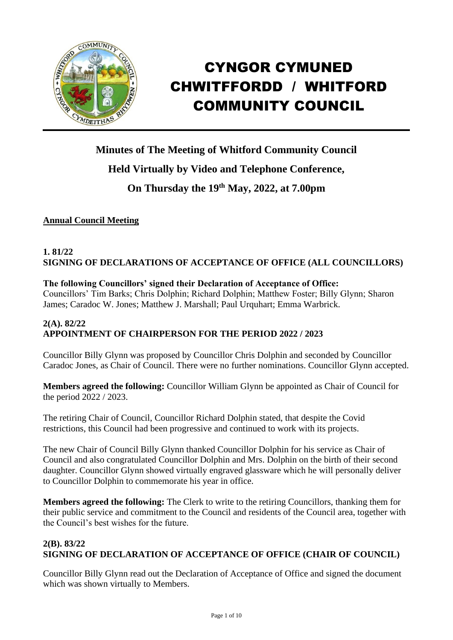

# CYNGOR CYMUNED CHWITFFORDD / WHITFORD COMMUNITY COUNCIL

## **Minutes of The Meeting of Whitford Community Council Held Virtually by Video and Telephone Conference, On Thursday the 19th May, 2022, at 7.00pm**

#### **Annual Council Meeting**

## **1. 81/22 SIGNING OF DECLARATIONS OF ACCEPTANCE OF OFFICE (ALL COUNCILLORS)**

#### **The following Councillors' signed their Declaration of Acceptance of Office:**

Councillors' Tim Barks; Chris Dolphin; Richard Dolphin; Matthew Foster; Billy Glynn; Sharon James; Caradoc W. Jones; Matthew J. Marshall; Paul Urquhart; Emma Warbrick.

#### **2(A). 82/22 APPOINTMENT OF CHAIRPERSON FOR THE PERIOD 2022 / 2023**

Councillor Billy Glynn was proposed by Councillor Chris Dolphin and seconded by Councillor Caradoc Jones, as Chair of Council. There were no further nominations. Councillor Glynn accepted.

**Members agreed the following:** Councillor William Glynn be appointed as Chair of Council for the period 2022 / 2023.

The retiring Chair of Council, Councillor Richard Dolphin stated, that despite the Covid restrictions, this Council had been progressive and continued to work with its projects.

The new Chair of Council Billy Glynn thanked Councillor Dolphin for his service as Chair of Council and also congratulated Councillor Dolphin and Mrs. Dolphin on the birth of their second daughter. Councillor Glynn showed virtually engraved glassware which he will personally deliver to Councillor Dolphin to commemorate his year in office.

**Members agreed the following:** The Clerk to write to the retiring Councillors, thanking them for their public service and commitment to the Council and residents of the Council area, together with the Council's best wishes for the future.

## **2(B). 83/22 SIGNING OF DECLARATION OF ACCEPTANCE OF OFFICE (CHAIR OF COUNCIL)**

Councillor Billy Glynn read out the Declaration of Acceptance of Office and signed the document which was shown virtually to Members.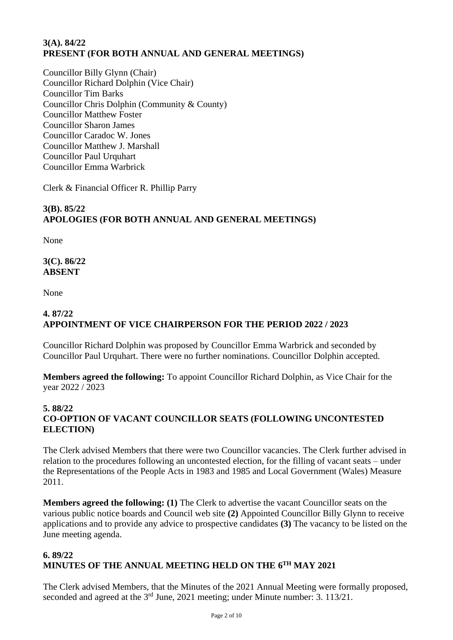#### **3(A). 84/22 PRESENT (FOR BOTH ANNUAL AND GENERAL MEETINGS)**

Councillor Billy Glynn (Chair) Councillor Richard Dolphin (Vice Chair) Councillor Tim Barks Councillor Chris Dolphin (Community & County) Councillor Matthew Foster Councillor Sharon James Councillor Caradoc W. Jones Councillor Matthew J. Marshall Councillor Paul Urquhart Councillor Emma Warbrick

Clerk & Financial Officer R. Phillip Parry

## **3(B). 85/22 APOLOGIES (FOR BOTH ANNUAL AND GENERAL MEETINGS)**

None

**3(C). 86/22 ABSENT**

None

#### **4. 87/22 APPOINTMENT OF VICE CHAIRPERSON FOR THE PERIOD 2022 / 2023**

Councillor Richard Dolphin was proposed by Councillor Emma Warbrick and seconded by Councillor Paul Urquhart. There were no further nominations. Councillor Dolphin accepted.

**Members agreed the following:** To appoint Councillor Richard Dolphin, as Vice Chair for the year 2022 / 2023

## **5. 88/22 CO-OPTION OF VACANT COUNCILLOR SEATS (FOLLOWING UNCONTESTED ELECTION)**

The Clerk advised Members that there were two Councillor vacancies. The Clerk further advised in relation to the procedures following an uncontested election, for the filling of vacant seats – under the Representations of the People Acts in 1983 and 1985 and Local Government (Wales) Measure 2011.

**Members agreed the following: (1)** The Clerk to advertise the vacant Councillor seats on the various public notice boards and Council web site **(2)** Appointed Councillor Billy Glynn to receive applications and to provide any advice to prospective candidates **(3)** The vacancy to be listed on the June meeting agenda.

#### **6. 89/22 MINUTES OF THE ANNUAL MEETING HELD ON THE 6 TH MAY 2021**

The Clerk advised Members, that the Minutes of the 2021 Annual Meeting were formally proposed, seconded and agreed at the  $3<sup>rd</sup>$  June, 2021 meeting; under Minute number: 3. 113/21.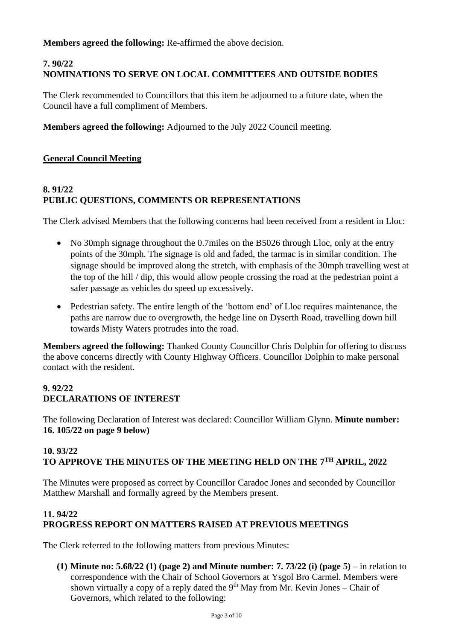**Members agreed the following:** Re-affirmed the above decision.

## **7. 90/22 NOMINATIONS TO SERVE ON LOCAL COMMITTEES AND OUTSIDE BODIES**

The Clerk recommended to Councillors that this item be adjourned to a future date, when the Council have a full compliment of Members.

**Members agreed the following:** Adjourned to the July 2022 Council meeting.

## **General Council Meeting**

## **8. 91/22 PUBLIC QUESTIONS, COMMENTS OR REPRESENTATIONS**

The Clerk advised Members that the following concerns had been received from a resident in Lloc:

- No 30mph signage throughout the 0.7miles on the B5026 through Lloc, only at the entry points of the 30mph. The signage is old and faded, the tarmac is in similar condition. The signage should be improved along the stretch, with emphasis of the 30mph travelling west at the top of the hill / dip, this would allow people crossing the road at the pedestrian point a safer passage as vehicles do speed up excessively.
- Pedestrian safety. The entire length of the 'bottom end' of Lloc requires maintenance, the paths are narrow due to overgrowth, the hedge line on Dyserth Road, travelling down hill towards Misty Waters protrudes into the road.

**Members agreed the following:** Thanked County Councillor Chris Dolphin for offering to discuss the above concerns directly with County Highway Officers. Councillor Dolphin to make personal contact with the resident.

## **9. 92/22 DECLARATIONS OF INTEREST**

The following Declaration of Interest was declared: Councillor William Glynn. **Minute number: 16. 105/22 on page 9 below)**

## **10. 93/22 TO APPROVE THE MINUTES OF THE MEETING HELD ON THE 7 TH APRIL, 2022**

The Minutes were proposed as correct by Councillor Caradoc Jones and seconded by Councillor Matthew Marshall and formally agreed by the Members present.

## **11. 94/22 PROGRESS REPORT ON MATTERS RAISED AT PREVIOUS MEETINGS**

The Clerk referred to the following matters from previous Minutes:

**(1) Minute no: 5.68/22 (1) (page 2) and Minute number: 7. 73/22 (i) (page 5)** – in relation to correspondence with the Chair of School Governors at Ysgol Bro Carmel. Members were shown virtually a copy of a reply dated the  $9<sup>th</sup>$  May from Mr. Kevin Jones – Chair of Governors, which related to the following: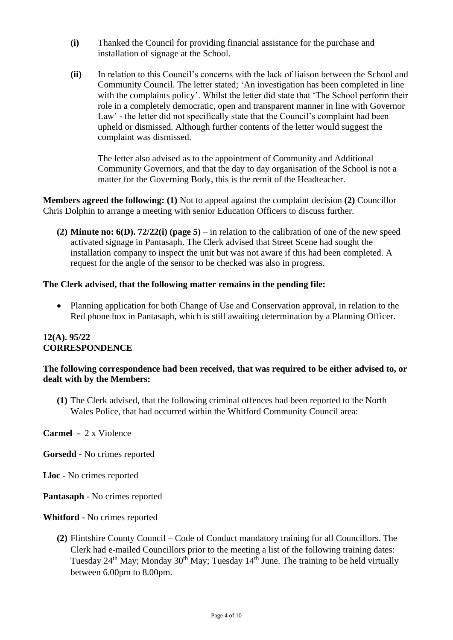- **(i)** Thanked the Council for providing financial assistance for the purchase and installation of signage at the School.
- **(ii)** In relation to this Council's concerns with the lack of liaison between the School and Community Council. The letter stated; 'An investigation has been completed in line with the complaints policy'. Whilst the letter did state that 'The School perform their role in a completely democratic, open and transparent manner in line with Governor Law' - the letter did not specifically state that the Council's complaint had been upheld or dismissed. Although further contents of the letter would suggest the complaint was dismissed.

The letter also advised as to the appointment of Community and Additional Community Governors, and that the day to day organisation of the School is not a matter for the Governing Body, this is the remit of the Headteacher.

**Members agreed the following: (1)** Not to appeal against the complaint decision **(2)** Councillor Chris Dolphin to arrange a meeting with senior Education Officers to discuss further.

**(2) Minute no: 6(D). 72/22(i) (page 5)** – in relation to the calibration of one of the new speed activated signage in Pantasaph. The Clerk advised that Street Scene had sought the installation company to inspect the unit but was not aware if this had been completed. A request for the angle of the sensor to be checked was also in progress.

#### **The Clerk advised, that the following matter remains in the pending file:**

• Planning application for both Change of Use and Conservation approval, in relation to the Red phone box in Pantasaph, which is still awaiting determination by a Planning Officer.

#### **12(A). 95/22 CORRESPONDENCE**

#### **The following correspondence had been received, that was required to be either advised to, or dealt with by the Members:**

**(1)** The Clerk advised, that the following criminal offences had been reported to the North Wales Police, that had occurred within the Whitford Community Council area:

**Carmel -** 2 x Violence

**Gorsedd -** No crimes reported

**Lloc -** No crimes reported

**Pantasaph -** No crimes reported

**Whitford -** No crimes reported

**(2)** Flintshire County Council – Code of Conduct mandatory training for all Councillors. The Clerk had e-mailed Councillors prior to the meeting a list of the following training dates: Tuesday  $24<sup>th</sup>$  May; Monday  $30<sup>th</sup>$  May; Tuesday  $14<sup>th</sup>$  June. The training to be held virtually between 6.00pm to 8.00pm.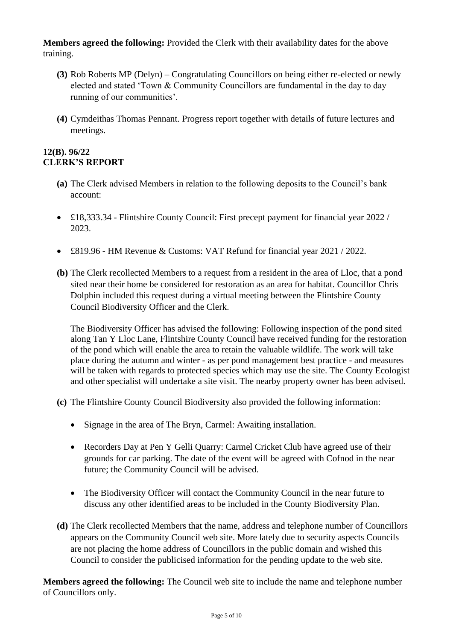**Members agreed the following:** Provided the Clerk with their availability dates for the above training.

- **(3)** Rob Roberts MP (Delyn) Congratulating Councillors on being either re-elected or newly elected and stated 'Town & Community Councillors are fundamental in the day to day running of our communities'.
- **(4)** Cymdeithas Thomas Pennant. Progress report together with details of future lectures and meetings.

#### **12(B). 96/22 CLERK'S REPORT**

- **(a)** The Clerk advised Members in relation to the following deposits to the Council's bank account:
- £18,333.34 Flintshire County Council: First precept payment for financial year 2022 / 2023.
- £819.96 HM Revenue & Customs: VAT Refund for financial year 2021 / 2022.
- **(b)** The Clerk recollected Members to a request from a resident in the area of Lloc, that a pond sited near their home be considered for restoration as an area for habitat. Councillor Chris Dolphin included this request during a virtual meeting between the Flintshire County Council Biodiversity Officer and the Clerk.

The Biodiversity Officer has advised the following: Following inspection of the pond sited along Tan Y Lloc Lane, Flintshire County Council have received funding for the restoration of the pond which will enable the area to retain the valuable wildlife. The work will take place during the autumn and winter - as per pond management best practice - and measures will be taken with regards to protected species which may use the site. The County Ecologist and other specialist will undertake a site visit. The nearby property owner has been advised.

**(c)** The Flintshire County Council Biodiversity also provided the following information:

- Signage in the area of The Bryn, Carmel: Awaiting installation.
- Recorders Day at Pen Y Gelli Quarry: Carmel Cricket Club have agreed use of their grounds for car parking. The date of the event will be agreed with Cofnod in the near future; the Community Council will be advised.
- The Biodiversity Officer will contact the Community Council in the near future to discuss any other identified areas to be included in the County Biodiversity Plan.
- **(d)** The Clerk recollected Members that the name, address and telephone number of Councillors appears on the Community Council web site. More lately due to security aspects Councils are not placing the home address of Councillors in the public domain and wished this Council to consider the publicised information for the pending update to the web site.

**Members agreed the following:** The Council web site to include the name and telephone number of Councillors only.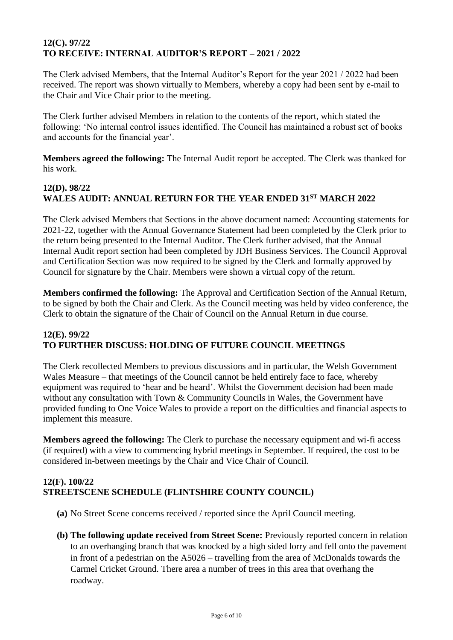#### **12(C). 97/22 TO RECEIVE: INTERNAL AUDITOR'S REPORT – 2021 / 2022**

The Clerk advised Members, that the Internal Auditor's Report for the year 2021 / 2022 had been received. The report was shown virtually to Members, whereby a copy had been sent by e-mail to the Chair and Vice Chair prior to the meeting.

The Clerk further advised Members in relation to the contents of the report, which stated the following: 'No internal control issues identified. The Council has maintained a robust set of books and accounts for the financial year'.

**Members agreed the following:** The Internal Audit report be accepted. The Clerk was thanked for his work.

## **12(D). 98/22 WALES AUDIT: ANNUAL RETURN FOR THE YEAR ENDED 31ST MARCH 2022**

The Clerk advised Members that Sections in the above document named: Accounting statements for 2021-22, together with the Annual Governance Statement had been completed by the Clerk prior to the return being presented to the Internal Auditor. The Clerk further advised, that the Annual Internal Audit report section had been completed by JDH Business Services. The Council Approval and Certification Section was now required to be signed by the Clerk and formally approved by Council for signature by the Chair. Members were shown a virtual copy of the return.

**Members confirmed the following:** The Approval and Certification Section of the Annual Return, to be signed by both the Chair and Clerk. As the Council meeting was held by video conference, the Clerk to obtain the signature of the Chair of Council on the Annual Return in due course.

#### **12(E). 99/22 TO FURTHER DISCUSS: HOLDING OF FUTURE COUNCIL MEETINGS**

The Clerk recollected Members to previous discussions and in particular, the Welsh Government Wales Measure – that meetings of the Council cannot be held entirely face to face, whereby equipment was required to 'hear and be heard'. Whilst the Government decision had been made without any consultation with Town & Community Councils in Wales, the Government have provided funding to One Voice Wales to provide a report on the difficulties and financial aspects to implement this measure.

**Members agreed the following:** The Clerk to purchase the necessary equipment and wi-fi access (if required) with a view to commencing hybrid meetings in September. If required, the cost to be considered in-between meetings by the Chair and Vice Chair of Council.

#### **12(F). 100/22 STREETSCENE SCHEDULE (FLINTSHIRE COUNTY COUNCIL)**

- **(a)** No Street Scene concerns received / reported since the April Council meeting.
- **(b) The following update received from Street Scene:** Previously reported concern in relation to an overhanging branch that was knocked by a high sided lorry and fell onto the pavement in front of a pedestrian on the A5026 – travelling from the area of McDonalds towards the Carmel Cricket Ground. There area a number of trees in this area that overhang the roadway.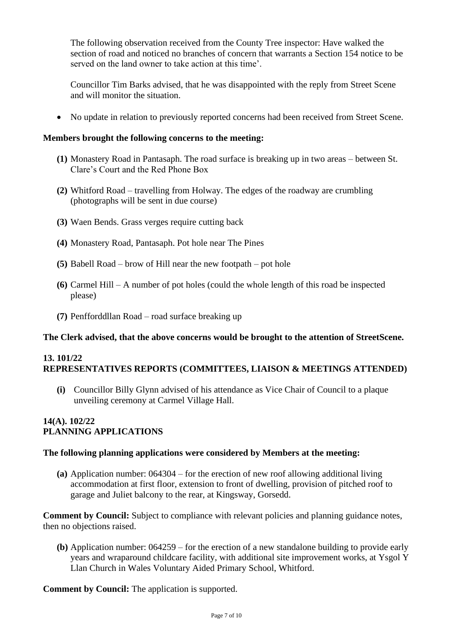The following observation received from the County Tree inspector: Have walked the section of road and noticed no branches of concern that warrants a Section 154 notice to be served on the land owner to take action at this time'.

Councillor Tim Barks advised, that he was disappointed with the reply from Street Scene and will monitor the situation.

• No update in relation to previously reported concerns had been received from Street Scene.

#### **Members brought the following concerns to the meeting:**

- **(1)** Monastery Road in Pantasaph. The road surface is breaking up in two areas between St. Clare's Court and the Red Phone Box
- **(2)** Whitford Road travelling from Holway. The edges of the roadway are crumbling (photographs will be sent in due course)
- **(3)** Waen Bends. Grass verges require cutting back
- **(4)** Monastery Road, Pantasaph. Pot hole near The Pines
- **(5)** Babell Road brow of Hill near the new footpath pot hole
- **(6)** Carmel Hill A number of pot holes (could the whole length of this road be inspected please)
- **(7)** Penfforddllan Road road surface breaking up

#### **The Clerk advised, that the above concerns would be brought to the attention of StreetScene.**

#### **13. 101/22 REPRESENTATIVES REPORTS (COMMITTEES, LIAISON & MEETINGS ATTENDED)**

**(i)** Councillor Billy Glynn advised of his attendance as Vice Chair of Council to a plaque unveiling ceremony at Carmel Village Hall.

#### **14(A). 102/22 PLANNING APPLICATIONS**

#### **The following planning applications were considered by Members at the meeting:**

**(a)** Application number: 064304 – for the erection of new roof allowing additional living accommodation at first floor, extension to front of dwelling, provision of pitched roof to garage and Juliet balcony to the rear, at Kingsway, Gorsedd.

**Comment by Council:** Subject to compliance with relevant policies and planning guidance notes, then no objections raised.

**(b)** Application number: 064259 – for the erection of a new standalone building to provide early years and wraparound childcare facility, with additional site improvement works, at Ysgol Y Llan Church in Wales Voluntary Aided Primary School, Whitford.

**Comment by Council:** The application is supported.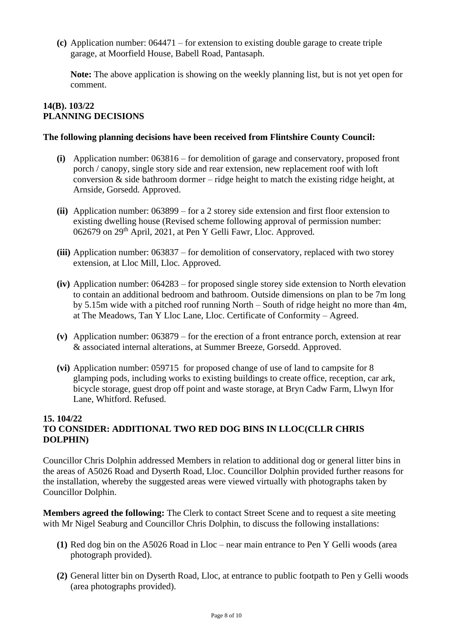**(c)** Application number: 064471 – for extension to existing double garage to create triple garage, at Moorfield House, Babell Road, Pantasaph.

**Note:** The above application is showing on the weekly planning list, but is not yet open for comment.

#### **14(B). 103/22 PLANNING DECISIONS**

#### **The following planning decisions have been received from Flintshire County Council:**

- **(i)** Application number: 063816 for demolition of garage and conservatory, proposed front porch / canopy, single story side and rear extension, new replacement roof with loft conversion  $\&$  side bathroom dormer – ridge height to match the existing ridge height, at Arnside, Gorsedd. Approved.
- **(ii)** Application number: 063899 for a 2 storey side extension and first floor extension to existing dwelling house (Revised scheme following approval of permission number: 062679 on 29th April, 2021, at Pen Y Gelli Fawr, Lloc. Approved.
- **(iii)** Application number: 063837 for demolition of conservatory, replaced with two storey extension, at Lloc Mill, Lloc. Approved.
- **(iv)** Application number: 064283 for proposed single storey side extension to North elevation to contain an additional bedroom and bathroom. Outside dimensions on plan to be 7m long by 5.15m wide with a pitched roof running North – South of ridge height no more than 4m, at The Meadows, Tan Y Lloc Lane, Lloc. Certificate of Conformity – Agreed.
- **(v)** Application number: 063879 for the erection of a front entrance porch, extension at rear & associated internal alterations, at Summer Breeze, Gorsedd. Approved.
- **(vi)** Application number: 059715 for proposed change of use of land to campsite for 8 glamping pods, including works to existing buildings to create office, reception, car ark, bicycle storage, guest drop off point and waste storage, at Bryn Cadw Farm, Llwyn Ifor Lane, Whitford. Refused.

#### **15. 104/22 TO CONSIDER: ADDITIONAL TWO RED DOG BINS IN LLOC(CLLR CHRIS DOLPHIN)**

Councillor Chris Dolphin addressed Members in relation to additional dog or general litter bins in the areas of A5026 Road and Dyserth Road, Lloc. Councillor Dolphin provided further reasons for the installation, whereby the suggested areas were viewed virtually with photographs taken by Councillor Dolphin.

**Members agreed the following:** The Clerk to contact Street Scene and to request a site meeting with Mr Nigel Seaburg and Councillor Chris Dolphin, to discuss the following installations:

- **(1)** Red dog bin on the A5026 Road in Lloc near main entrance to Pen Y Gelli woods (area photograph provided).
- **(2)** General litter bin on Dyserth Road, Lloc, at entrance to public footpath to Pen y Gelli woods (area photographs provided).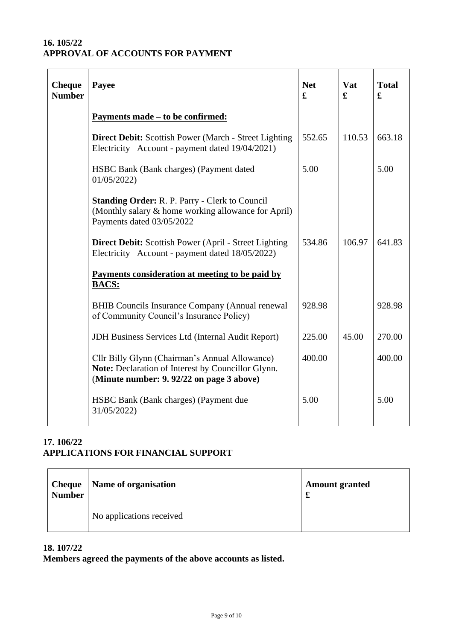## **16. 105/22 APPROVAL OF ACCOUNTS FOR PAYMENT**

| <b>Cheque</b><br><b>Number</b> | Payee                                                                                                                                             | <b>Net</b><br>£ | Vat<br>£ | <b>Total</b><br>$\mathbf f$ |
|--------------------------------|---------------------------------------------------------------------------------------------------------------------------------------------------|-----------------|----------|-----------------------------|
|                                | <u>Payments made – to be confirmed:</u>                                                                                                           |                 |          |                             |
|                                | Direct Debit: Scottish Power (March - Street Lighting<br>Electricity Account - payment dated 19/04/2021)                                          | 552.65          | 110.53   | 663.18                      |
|                                | HSBC Bank (Bank charges) (Payment dated<br>01/05/2022                                                                                             | 5.00            |          | 5.00                        |
|                                | Standing Order: R. P. Parry - Clerk to Council<br>(Monthly salary & home working allowance for April)<br>Payments dated 03/05/2022                |                 |          |                             |
|                                | Direct Debit: Scottish Power (April - Street Lighting<br>Electricity Account - payment dated 18/05/2022)                                          | 534.86          | 106.97   | 641.83                      |
|                                | Payments consideration at meeting to be paid by<br><b>BACS:</b>                                                                                   |                 |          |                             |
|                                | <b>BHIB Councils Insurance Company (Annual renewal</b><br>of Community Council's Insurance Policy)                                                | 928.98          |          | 928.98                      |
|                                | JDH Business Services Ltd (Internal Audit Report)                                                                                                 | 225.00          | 45.00    | 270.00                      |
|                                | Cllr Billy Glynn (Chairman's Annual Allowance)<br>Note: Declaration of Interest by Councillor Glynn.<br>(Minute number: 9. 92/22 on page 3 above) | 400.00          |          | 400.00                      |
|                                | HSBC Bank (Bank charges) (Payment due<br>31/05/2022)                                                                                              | 5.00            |          | 5.00                        |

## **17. 106/22**

## **APPLICATIONS FOR FINANCIAL SUPPORT**

| Cheque<br><b>Number</b> | <b>Name of organisation</b> | <b>Amount granted</b><br>£ |  |
|-------------------------|-----------------------------|----------------------------|--|
|                         | No applications received    |                            |  |

## **18. 107/22**

**Members agreed the payments of the above accounts as listed.**